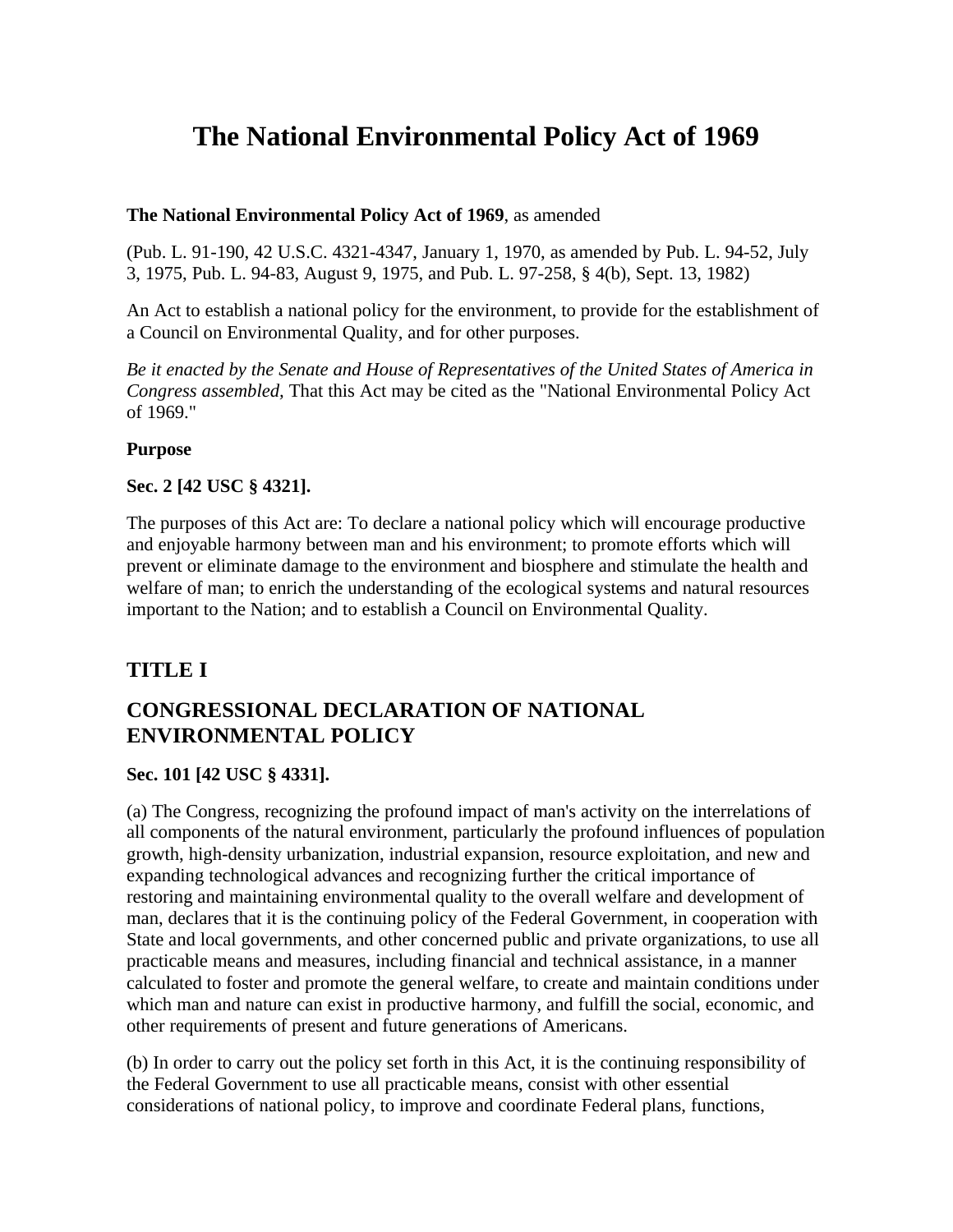# **The National Environmental Policy Act of 1969**

#### **The National Environmental Policy Act of 1969**, as amended

(Pub. L. 91-190, 42 U.S.C. 4321-4347, January 1, 1970, as amended by Pub. L. 94-52, July 3, 1975, Pub. L. 94-83, August 9, 1975, and Pub. L. 97-258, § 4(b), Sept. 13, 1982)

An Act to establish a national policy for the environment, to provide for the establishment of a Council on Environmental Quality, and for other purposes.

*Be it enacted by the Senate and House of Representatives of the United States of America in Congress assembled,* That this Act may be cited as the "National Environmental Policy Act of 1969."

#### **Purpose**

#### **Sec. 2 [42 USC § 4321].**

The purposes of this Act are: To declare a national policy which will encourage productive and enjoyable harmony between man and his environment; to promote efforts which will prevent or eliminate damage to the environment and biosphere and stimulate the health and welfare of man; to enrich the understanding of the ecological systems and natural resources important to the Nation; and to establish a Council on Environmental Quality.

# **TITLE I**

# **CONGRESSIONAL DECLARATION OF NATIONAL ENVIRONMENTAL POLICY**

#### **Sec. 101 [42 USC § 4331].**

(a) The Congress, recognizing the profound impact of man's activity on the interrelations of all components of the natural environment, particularly the profound influences of population growth, high-density urbanization, industrial expansion, resource exploitation, and new and expanding technological advances and recognizing further the critical importance of restoring and maintaining environmental quality to the overall welfare and development of man, declares that it is the continuing policy of the Federal Government, in cooperation with State and local governments, and other concerned public and private organizations, to use all practicable means and measures, including financial and technical assistance, in a manner calculated to foster and promote the general welfare, to create and maintain conditions under which man and nature can exist in productive harmony, and fulfill the social, economic, and other requirements of present and future generations of Americans.

(b) In order to carry out the policy set forth in this Act, it is the continuing responsibility of the Federal Government to use all practicable means, consist with other essential considerations of national policy, to improve and coordinate Federal plans, functions,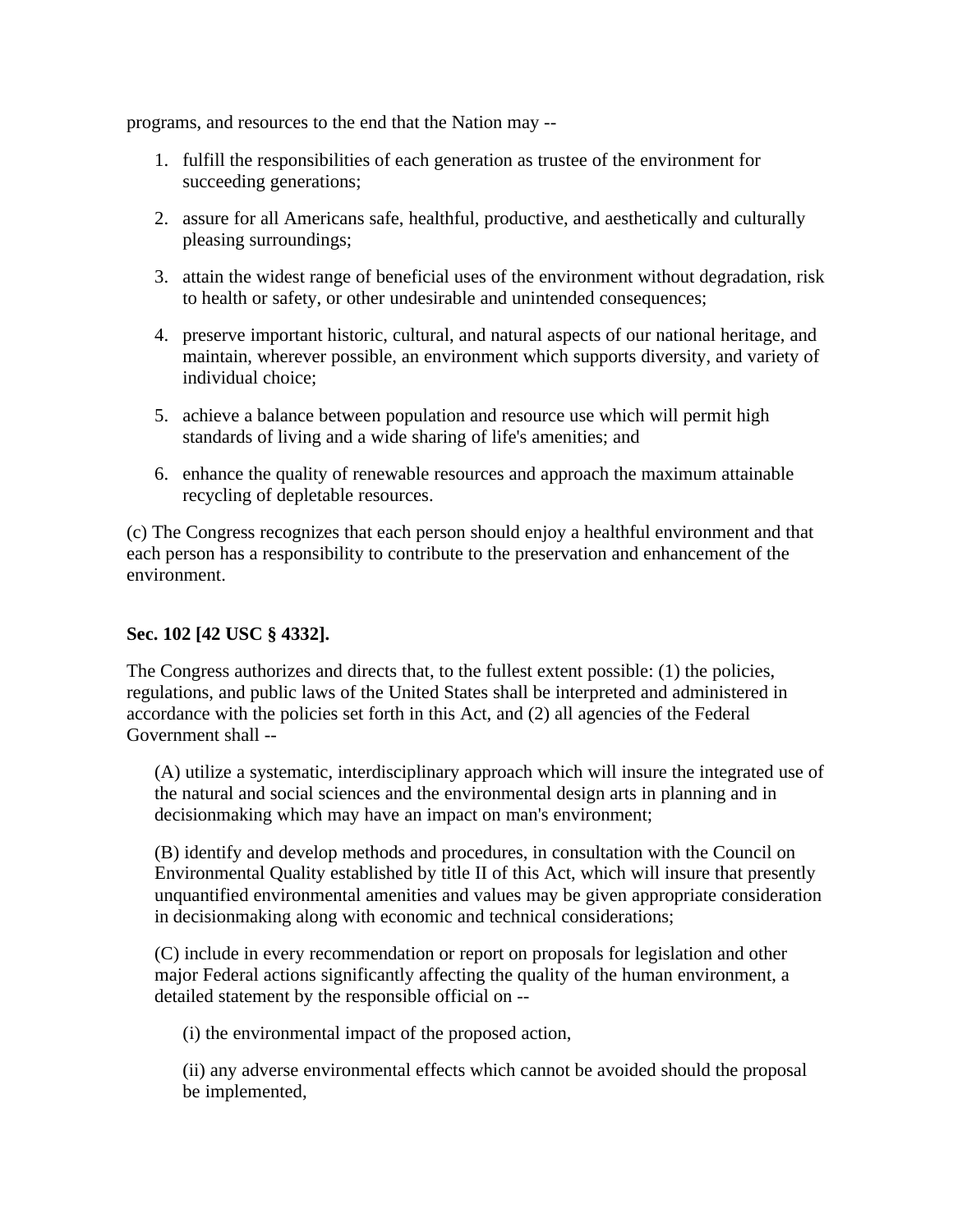programs, and resources to the end that the Nation may --

- 1. fulfill the responsibilities of each generation as trustee of the environment for succeeding generations;
- 2. assure for all Americans safe, healthful, productive, and aesthetically and culturally pleasing surroundings;
- 3. attain the widest range of beneficial uses of the environment without degradation, risk to health or safety, or other undesirable and unintended consequences;
- 4. preserve important historic, cultural, and natural aspects of our national heritage, and maintain, wherever possible, an environment which supports diversity, and variety of individual choice;
- 5. achieve a balance between population and resource use which will permit high standards of living and a wide sharing of life's amenities; and
- 6. enhance the quality of renewable resources and approach the maximum attainable recycling of depletable resources.

(c) The Congress recognizes that each person should enjoy a healthful environment and that each person has a responsibility to contribute to the preservation and enhancement of the environment.

#### **Sec. 102 [42 USC § 4332].**

The Congress authorizes and directs that, to the fullest extent possible: (1) the policies, regulations, and public laws of the United States shall be interpreted and administered in accordance with the policies set forth in this Act, and (2) all agencies of the Federal Government shall --

(A) utilize a systematic, interdisciplinary approach which will insure the integrated use of the natural and social sciences and the environmental design arts in planning and in decisionmaking which may have an impact on man's environment;

(B) identify and develop methods and procedures, in consultation with the Council on Environmental Quality established by title II of this Act, which will insure that presently unquantified environmental amenities and values may be given appropriate consideration in decisionmaking along with economic and technical considerations;

(C) include in every recommendation or report on proposals for legislation and other major Federal actions significantly affecting the quality of the human environment, a detailed statement by the responsible official on --

(i) the environmental impact of the proposed action,

(ii) any adverse environmental effects which cannot be avoided should the proposal be implemented,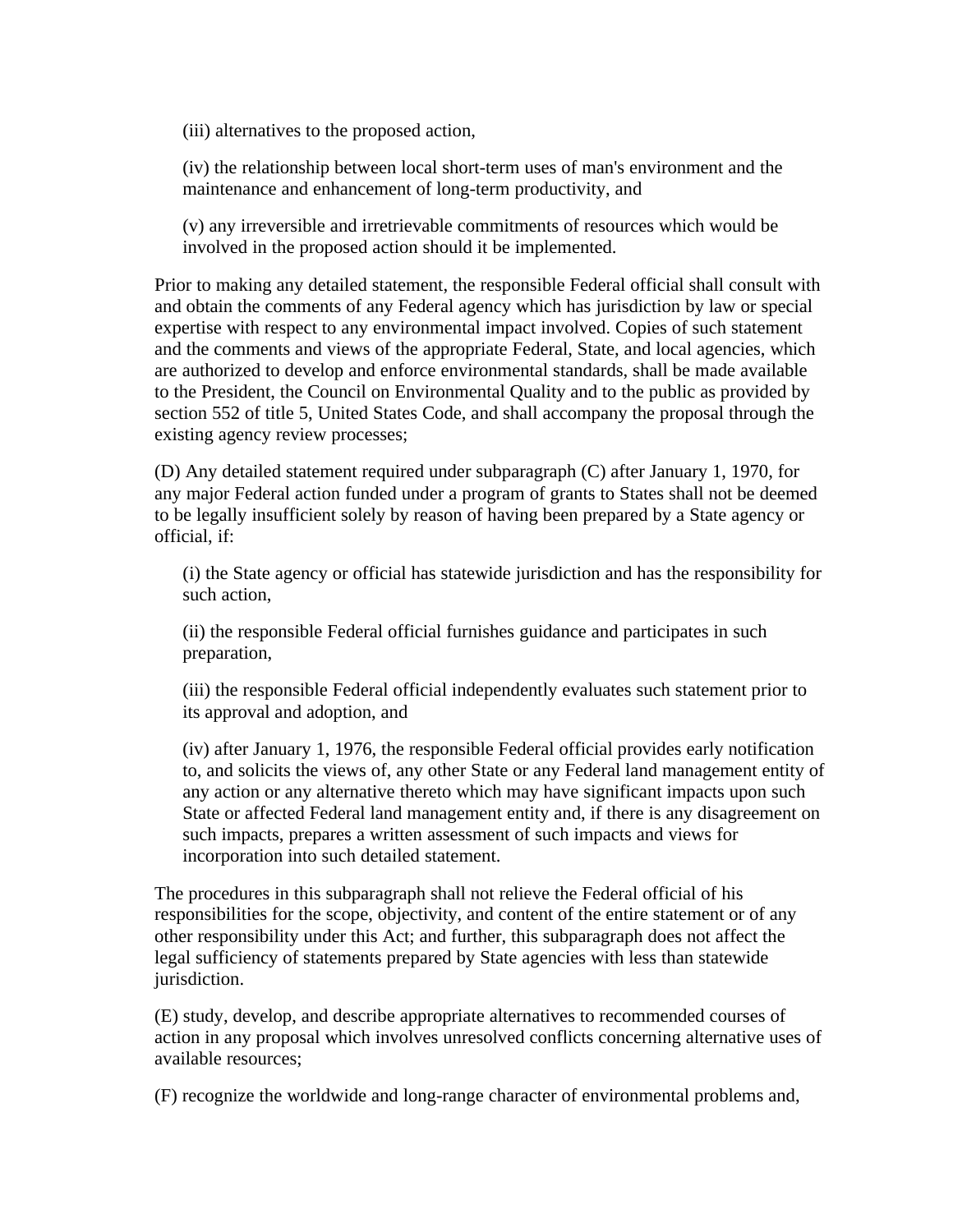(iii) alternatives to the proposed action,

(iv) the relationship between local short-term uses of man's environment and the maintenance and enhancement of long-term productivity, and

(v) any irreversible and irretrievable commitments of resources which would be involved in the proposed action should it be implemented.

Prior to making any detailed statement, the responsible Federal official shall consult with and obtain the comments of any Federal agency which has jurisdiction by law or special expertise with respect to any environmental impact involved. Copies of such statement and the comments and views of the appropriate Federal, State, and local agencies, which are authorized to develop and enforce environmental standards, shall be made available to the President, the Council on Environmental Quality and to the public as provided by section 552 of title 5, United States Code, and shall accompany the proposal through the existing agency review processes;

(D) Any detailed statement required under subparagraph (C) after January 1, 1970, for any major Federal action funded under a program of grants to States shall not be deemed to be legally insufficient solely by reason of having been prepared by a State agency or official, if:

(i) the State agency or official has statewide jurisdiction and has the responsibility for such action,

(ii) the responsible Federal official furnishes guidance and participates in such preparation,

(iii) the responsible Federal official independently evaluates such statement prior to its approval and adoption, and

(iv) after January 1, 1976, the responsible Federal official provides early notification to, and solicits the views of, any other State or any Federal land management entity of any action or any alternative thereto which may have significant impacts upon such State or affected Federal land management entity and, if there is any disagreement on such impacts, prepares a written assessment of such impacts and views for incorporation into such detailed statement.

The procedures in this subparagraph shall not relieve the Federal official of his responsibilities for the scope, objectivity, and content of the entire statement or of any other responsibility under this Act; and further, this subparagraph does not affect the legal sufficiency of statements prepared by State agencies with less than statewide jurisdiction.

(E) study, develop, and describe appropriate alternatives to recommended courses of action in any proposal which involves unresolved conflicts concerning alternative uses of available resources;

(F) recognize the worldwide and long-range character of environmental problems and,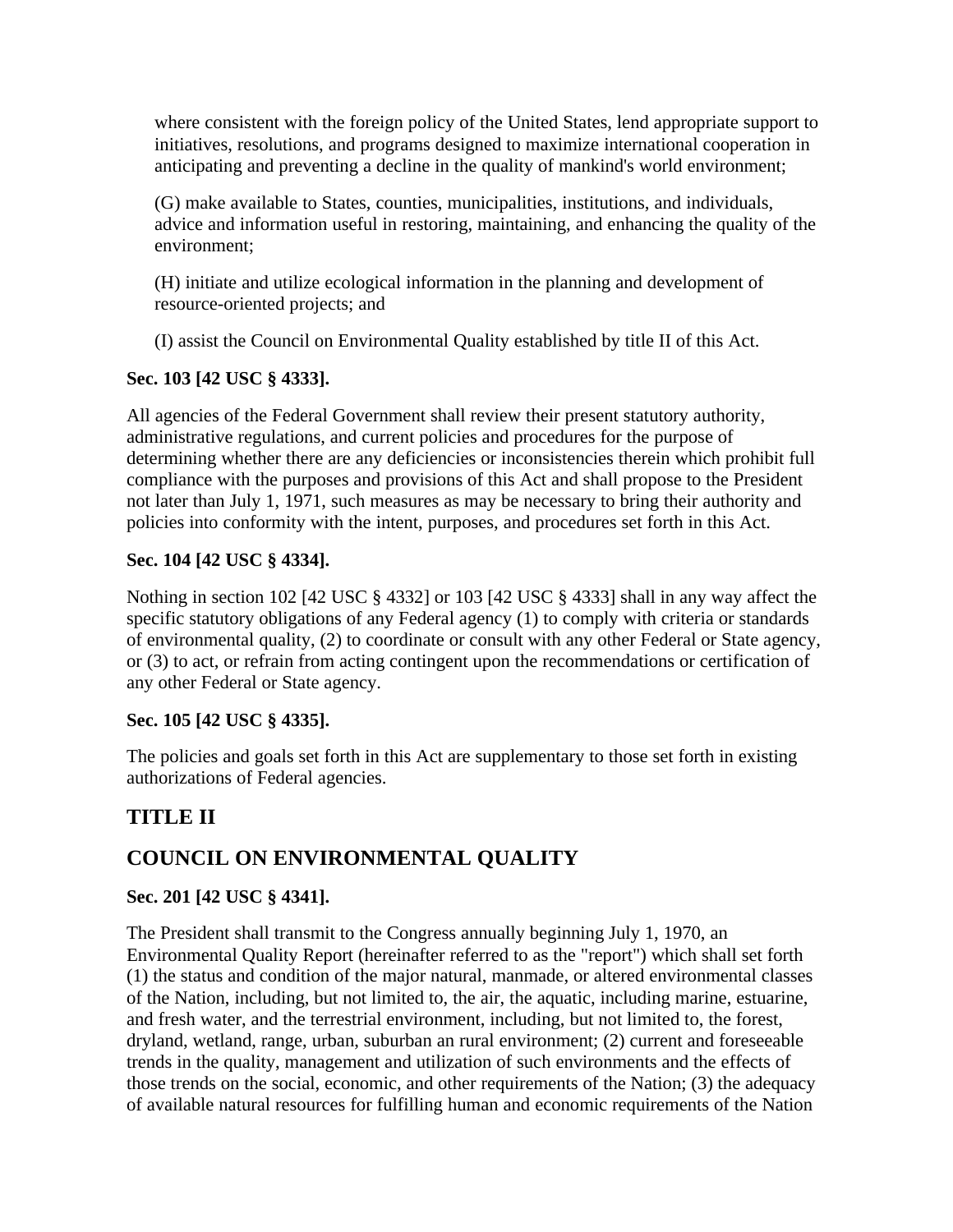where consistent with the foreign policy of the United States, lend appropriate support to initiatives, resolutions, and programs designed to maximize international cooperation in anticipating and preventing a decline in the quality of mankind's world environment;

(G) make available to States, counties, municipalities, institutions, and individuals, advice and information useful in restoring, maintaining, and enhancing the quality of the environment;

(H) initiate and utilize ecological information in the planning and development of resource-oriented projects; and

(I) assist the Council on Environmental Quality established by title II of this Act.

# **Sec. 103 [42 USC § 4333].**

All agencies of the Federal Government shall review their present statutory authority, administrative regulations, and current policies and procedures for the purpose of determining whether there are any deficiencies or inconsistencies therein which prohibit full compliance with the purposes and provisions of this Act and shall propose to the President not later than July 1, 1971, such measures as may be necessary to bring their authority and policies into conformity with the intent, purposes, and procedures set forth in this Act.

# **Sec. 104 [42 USC § 4334].**

Nothing in section 102 [42 USC § 4332] or 103 [42 USC § 4333] shall in any way affect the specific statutory obligations of any Federal agency (1) to comply with criteria or standards of environmental quality, (2) to coordinate or consult with any other Federal or State agency, or (3) to act, or refrain from acting contingent upon the recommendations or certification of any other Federal or State agency.

#### **Sec. 105 [42 USC § 4335].**

The policies and goals set forth in this Act are supplementary to those set forth in existing authorizations of Federal agencies.

# **TITLE II**

# **COUNCIL ON ENVIRONMENTAL QUALITY**

#### **Sec. 201 [42 USC § 4341].**

The President shall transmit to the Congress annually beginning July 1, 1970, an Environmental Quality Report (hereinafter referred to as the "report") which shall set forth (1) the status and condition of the major natural, manmade, or altered environmental classes of the Nation, including, but not limited to, the air, the aquatic, including marine, estuarine, and fresh water, and the terrestrial environment, including, but not limited to, the forest, dryland, wetland, range, urban, suburban an rural environment; (2) current and foreseeable trends in the quality, management and utilization of such environments and the effects of those trends on the social, economic, and other requirements of the Nation; (3) the adequacy of available natural resources for fulfilling human and economic requirements of the Nation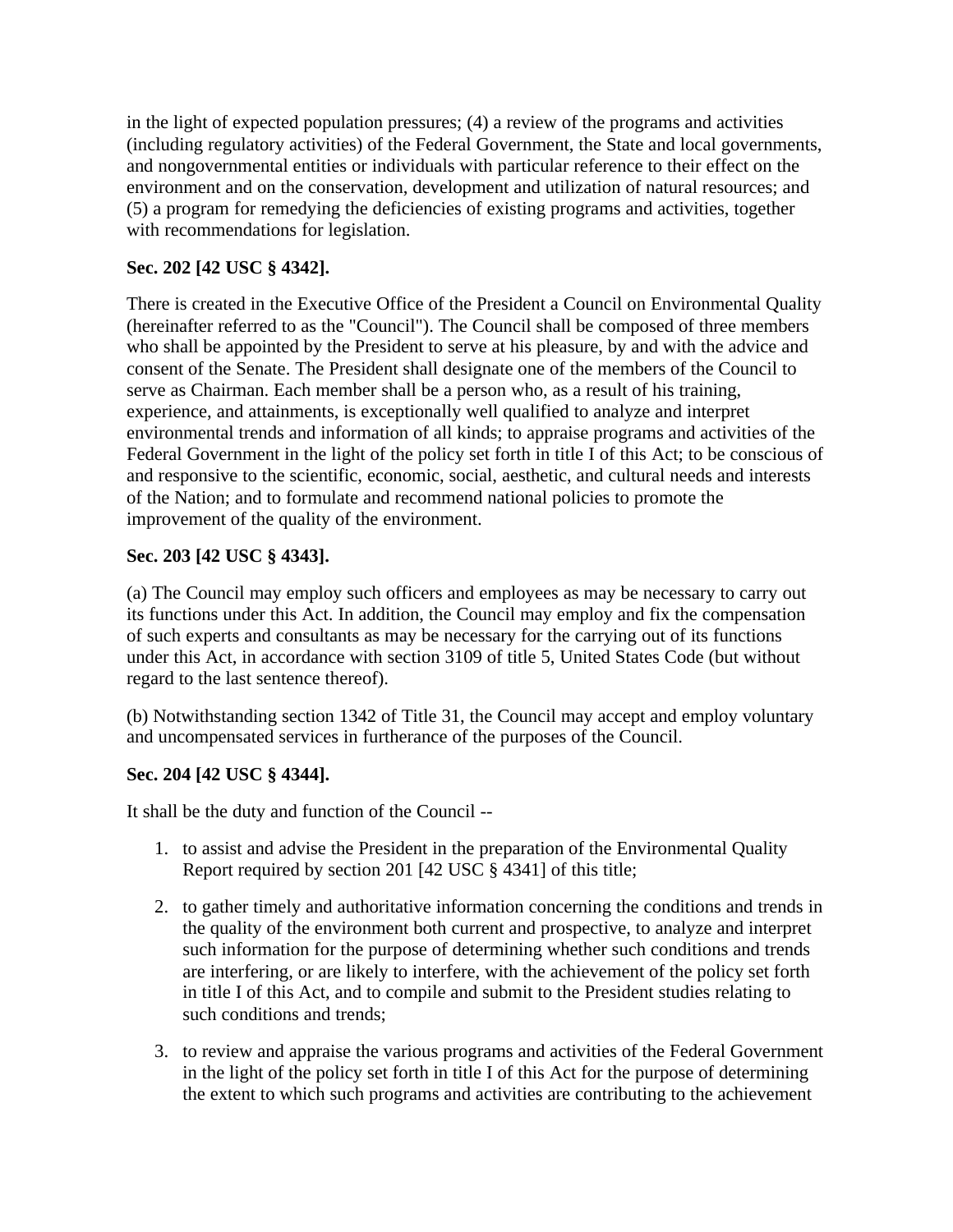in the light of expected population pressures; (4) a review of the programs and activities (including regulatory activities) of the Federal Government, the State and local governments, and nongovernmental entities or individuals with particular reference to their effect on the environment and on the conservation, development and utilization of natural resources; and (5) a program for remedying the deficiencies of existing programs and activities, together with recommendations for legislation.

# **Sec. 202 [42 USC § 4342].**

There is created in the Executive Office of the President a Council on Environmental Quality (hereinafter referred to as the "Council"). The Council shall be composed of three members who shall be appointed by the President to serve at his pleasure, by and with the advice and consent of the Senate. The President shall designate one of the members of the Council to serve as Chairman. Each member shall be a person who, as a result of his training, experience, and attainments, is exceptionally well qualified to analyze and interpret environmental trends and information of all kinds; to appraise programs and activities of the Federal Government in the light of the policy set forth in title I of this Act; to be conscious of and responsive to the scientific, economic, social, aesthetic, and cultural needs and interests of the Nation; and to formulate and recommend national policies to promote the improvement of the quality of the environment.

# **Sec. 203 [42 USC § 4343].**

(a) The Council may employ such officers and employees as may be necessary to carry out its functions under this Act. In addition, the Council may employ and fix the compensation of such experts and consultants as may be necessary for the carrying out of its functions under this Act, in accordance with section 3109 of title 5, United States Code (but without regard to the last sentence thereof).

(b) Notwithstanding section 1342 of Title 31, the Council may accept and employ voluntary and uncompensated services in furtherance of the purposes of the Council.

#### **Sec. 204 [42 USC § 4344].**

It shall be the duty and function of the Council --

- 1. to assist and advise the President in the preparation of the Environmental Quality Report required by section 201 [42 USC § 4341] of this title;
- 2. to gather timely and authoritative information concerning the conditions and trends in the quality of the environment both current and prospective, to analyze and interpret such information for the purpose of determining whether such conditions and trends are interfering, or are likely to interfere, with the achievement of the policy set forth in title I of this Act, and to compile and submit to the President studies relating to such conditions and trends;
- 3. to review and appraise the various programs and activities of the Federal Government in the light of the policy set forth in title I of this Act for the purpose of determining the extent to which such programs and activities are contributing to the achievement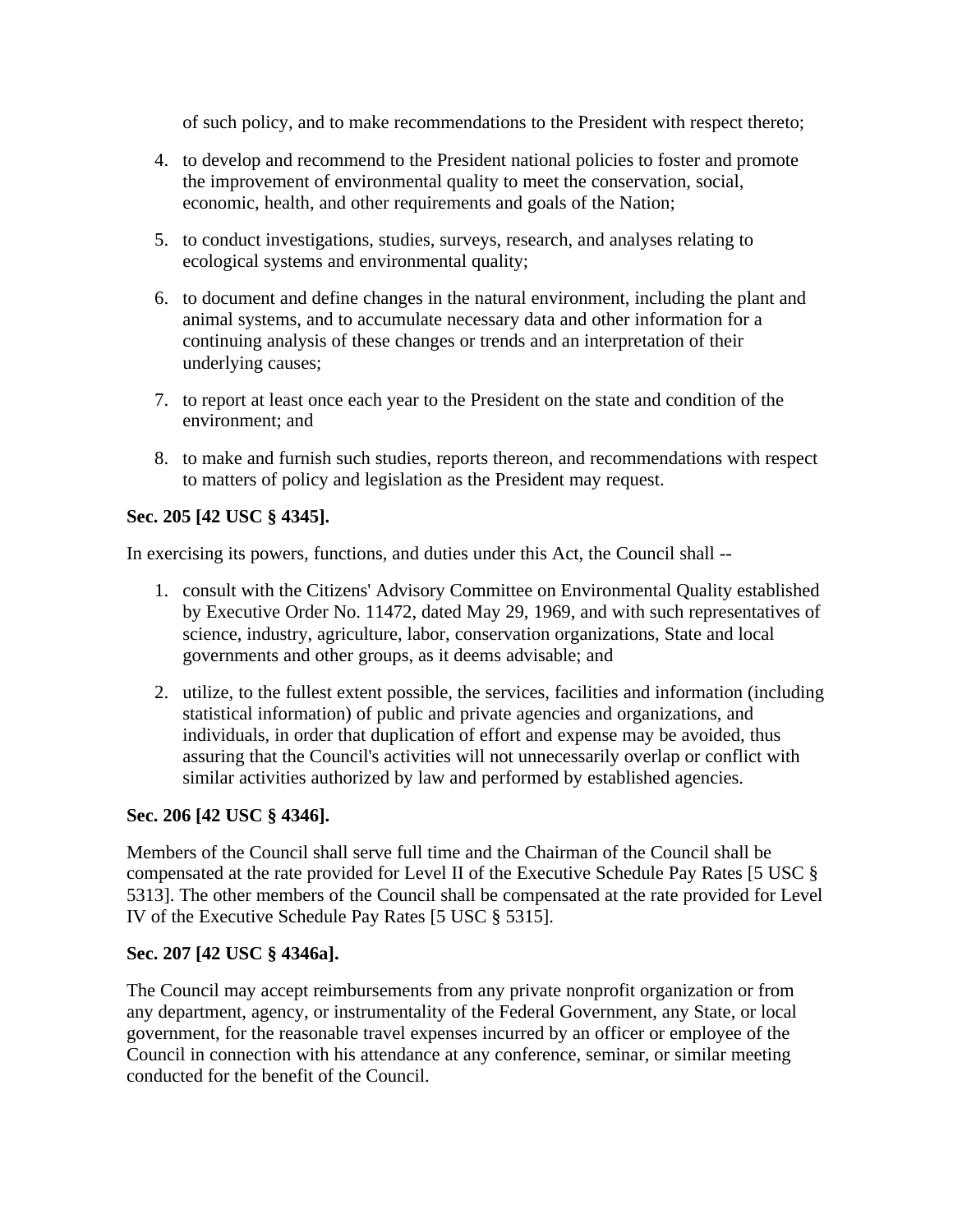of such policy, and to make recommendations to the President with respect thereto;

- 4. to develop and recommend to the President national policies to foster and promote the improvement of environmental quality to meet the conservation, social, economic, health, and other requirements and goals of the Nation;
- 5. to conduct investigations, studies, surveys, research, and analyses relating to ecological systems and environmental quality;
- 6. to document and define changes in the natural environment, including the plant and animal systems, and to accumulate necessary data and other information for a continuing analysis of these changes or trends and an interpretation of their underlying causes;
- 7. to report at least once each year to the President on the state and condition of the environment; and
- 8. to make and furnish such studies, reports thereon, and recommendations with respect to matters of policy and legislation as the President may request.

# **Sec. 205 [42 USC § 4345].**

In exercising its powers, functions, and duties under this Act, the Council shall --

- 1. consult with the Citizens' Advisory Committee on Environmental Quality established by Executive Order No. 11472, dated May 29, 1969, and with such representatives of science, industry, agriculture, labor, conservation organizations, State and local governments and other groups, as it deems advisable; and
- 2. utilize, to the fullest extent possible, the services, facilities and information (including statistical information) of public and private agencies and organizations, and individuals, in order that duplication of effort and expense may be avoided, thus assuring that the Council's activities will not unnecessarily overlap or conflict with similar activities authorized by law and performed by established agencies.

#### **Sec. 206 [42 USC § 4346].**

Members of the Council shall serve full time and the Chairman of the Council shall be compensated at the rate provided for Level II of the Executive Schedule Pay Rates [5 USC § 5313]. The other members of the Council shall be compensated at the rate provided for Level IV of the Executive Schedule Pay Rates [5 USC § 5315].

#### **Sec. 207 [42 USC § 4346a].**

The Council may accept reimbursements from any private nonprofit organization or from any department, agency, or instrumentality of the Federal Government, any State, or local government, for the reasonable travel expenses incurred by an officer or employee of the Council in connection with his attendance at any conference, seminar, or similar meeting conducted for the benefit of the Council.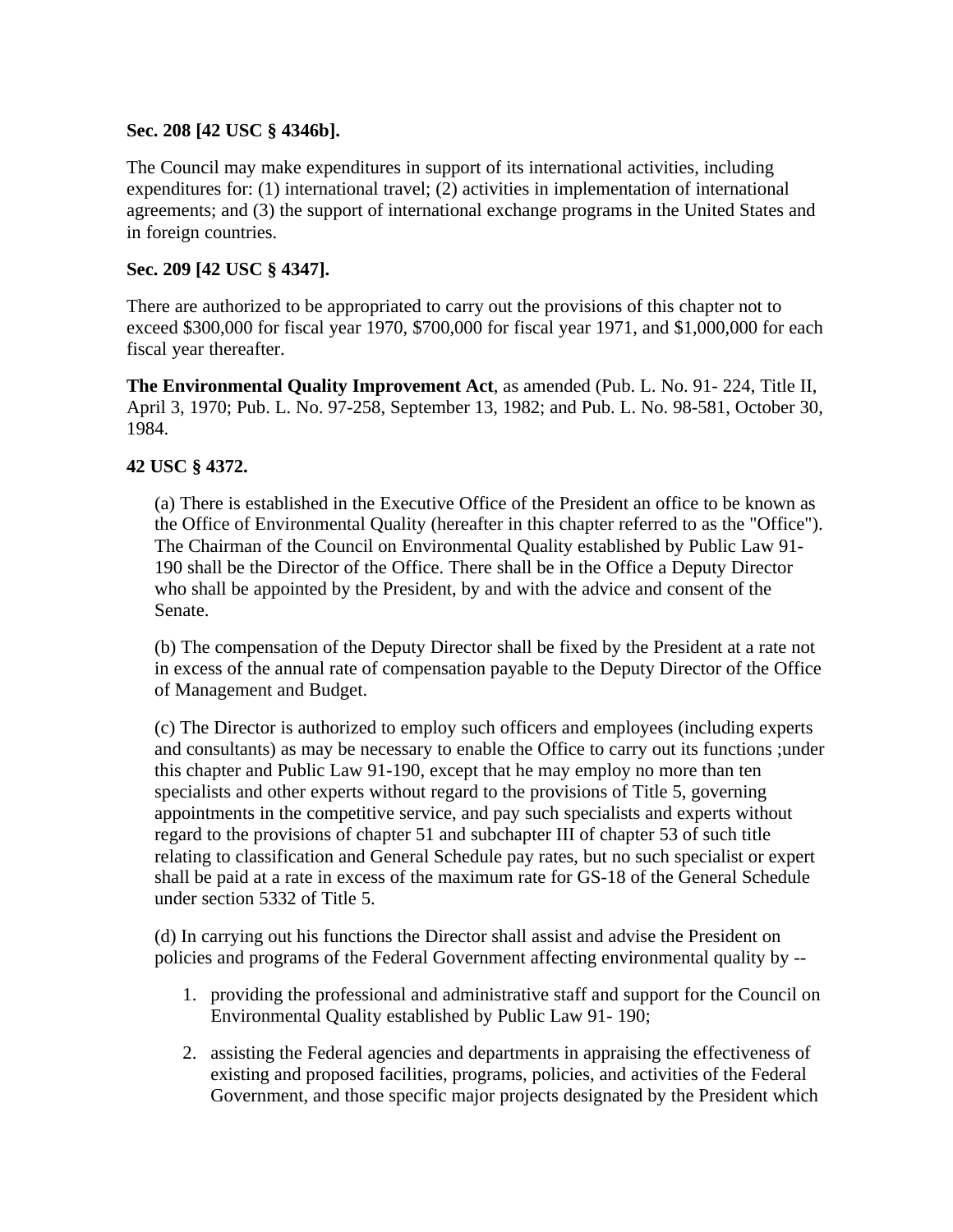#### **Sec. 208 [42 USC § 4346b].**

The Council may make expenditures in support of its international activities, including expenditures for: (1) international travel; (2) activities in implementation of international agreements; and (3) the support of international exchange programs in the United States and in foreign countries.

#### **Sec. 209 [42 USC § 4347].**

There are authorized to be appropriated to carry out the provisions of this chapter not to exceed \$300,000 for fiscal year 1970, \$700,000 for fiscal year 1971, and \$1,000,000 for each fiscal year thereafter.

**The Environmental Quality Improvement Act**, as amended (Pub. L. No. 91- 224, Title II, April 3, 1970; Pub. L. No. 97-258, September 13, 1982; and Pub. L. No. 98-581, October 30, 1984.

#### **42 USC § 4372.**

(a) There is established in the Executive Office of the President an office to be known as the Office of Environmental Quality (hereafter in this chapter referred to as the "Office"). The Chairman of the Council on Environmental Quality established by Public Law 91- 190 shall be the Director of the Office. There shall be in the Office a Deputy Director who shall be appointed by the President, by and with the advice and consent of the Senate.

(b) The compensation of the Deputy Director shall be fixed by the President at a rate not in excess of the annual rate of compensation payable to the Deputy Director of the Office of Management and Budget.

(c) The Director is authorized to employ such officers and employees (including experts and consultants) as may be necessary to enable the Office to carry out its functions ;under this chapter and Public Law 91-190, except that he may employ no more than ten specialists and other experts without regard to the provisions of Title 5, governing appointments in the competitive service, and pay such specialists and experts without regard to the provisions of chapter 51 and subchapter III of chapter 53 of such title relating to classification and General Schedule pay rates, but no such specialist or expert shall be paid at a rate in excess of the maximum rate for GS-18 of the General Schedule under section 5332 of Title 5.

(d) In carrying out his functions the Director shall assist and advise the President on policies and programs of the Federal Government affecting environmental quality by --

- 1. providing the professional and administrative staff and support for the Council on Environmental Quality established by Public Law 91- 190;
- 2. assisting the Federal agencies and departments in appraising the effectiveness of existing and proposed facilities, programs, policies, and activities of the Federal Government, and those specific major projects designated by the President which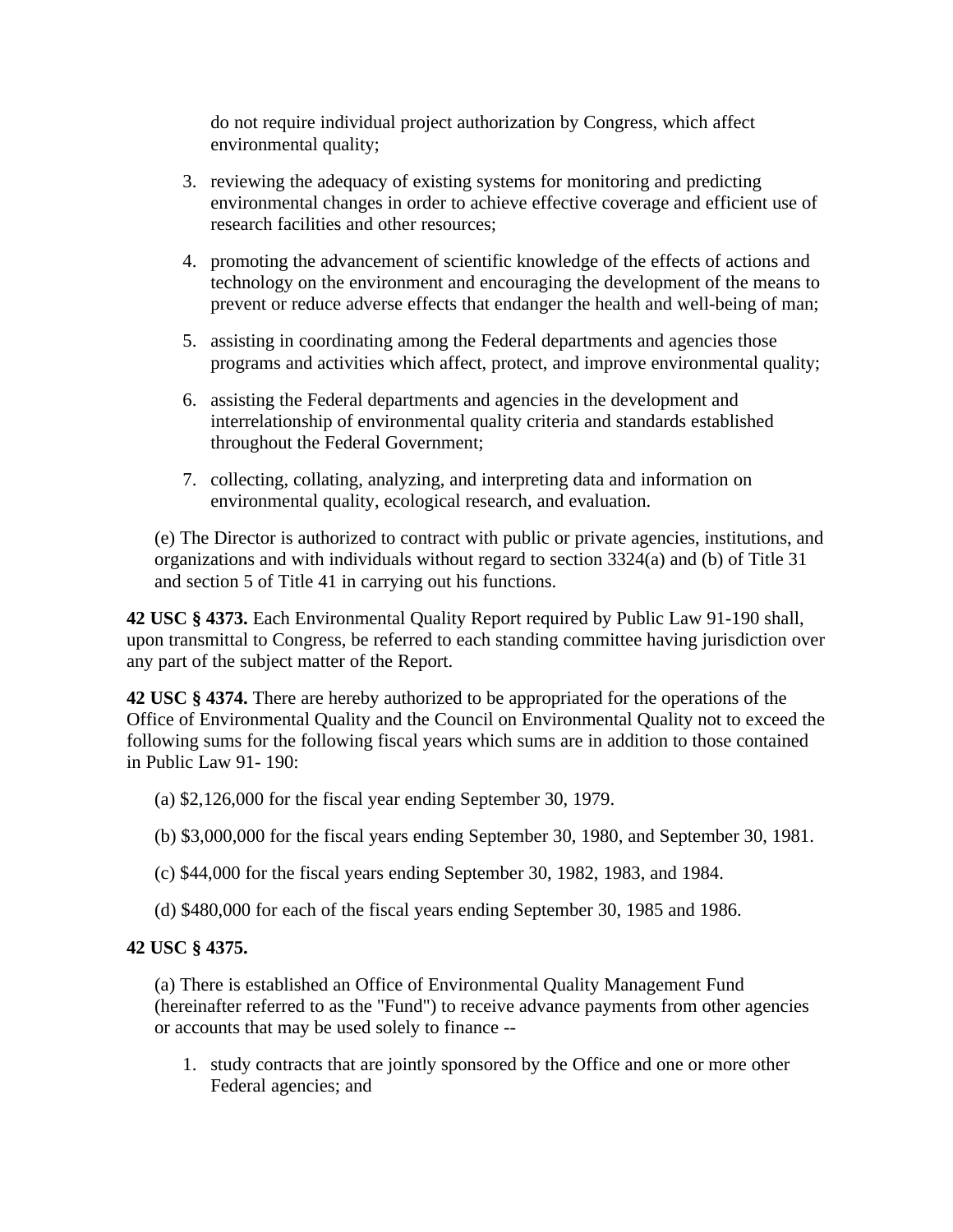do not require individual project authorization by Congress, which affect environmental quality;

- 3. reviewing the adequacy of existing systems for monitoring and predicting environmental changes in order to achieve effective coverage and efficient use of research facilities and other resources;
- 4. promoting the advancement of scientific knowledge of the effects of actions and technology on the environment and encouraging the development of the means to prevent or reduce adverse effects that endanger the health and well-being of man;
- 5. assisting in coordinating among the Federal departments and agencies those programs and activities which affect, protect, and improve environmental quality;
- 6. assisting the Federal departments and agencies in the development and interrelationship of environmental quality criteria and standards established throughout the Federal Government;
- 7. collecting, collating, analyzing, and interpreting data and information on environmental quality, ecological research, and evaluation.

(e) The Director is authorized to contract with public or private agencies, institutions, and organizations and with individuals without regard to section 3324(a) and (b) of Title 31 and section 5 of Title 41 in carrying out his functions.

**42 USC § 4373.** Each Environmental Quality Report required by Public Law 91-190 shall, upon transmittal to Congress, be referred to each standing committee having jurisdiction over any part of the subject matter of the Report.

**42 USC § 4374.** There are hereby authorized to be appropriated for the operations of the Office of Environmental Quality and the Council on Environmental Quality not to exceed the following sums for the following fiscal years which sums are in addition to those contained in Public Law 91- 190:

- (a) \$2,126,000 for the fiscal year ending September 30, 1979.
- (b) \$3,000,000 for the fiscal years ending September 30, 1980, and September 30, 1981.
- (c) \$44,000 for the fiscal years ending September 30, 1982, 1983, and 1984.
- (d) \$480,000 for each of the fiscal years ending September 30, 1985 and 1986.

#### **42 USC § 4375.**

(a) There is established an Office of Environmental Quality Management Fund (hereinafter referred to as the "Fund") to receive advance payments from other agencies or accounts that may be used solely to finance --

1. study contracts that are jointly sponsored by the Office and one or more other Federal agencies; and